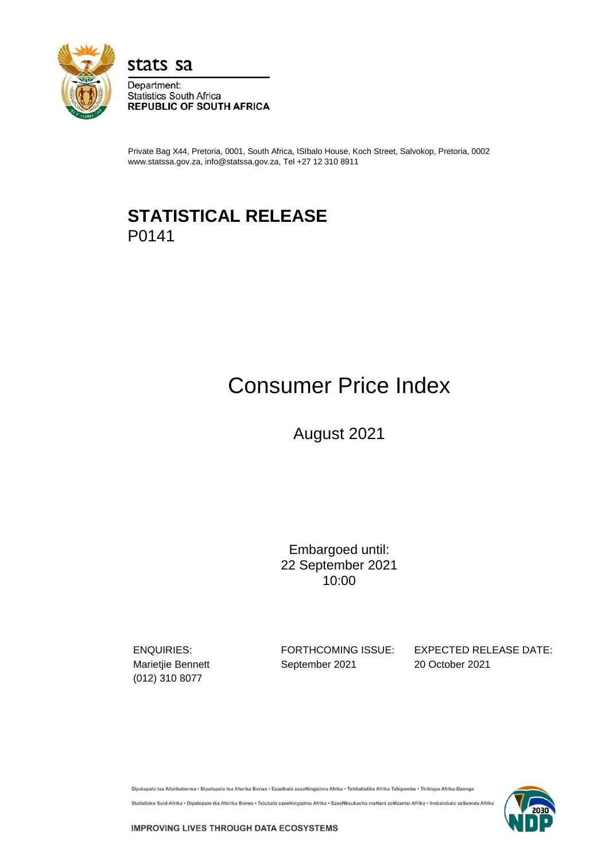

stats sa

Department: **Statistics South Africa REPUBLIC OF SOUTH AFRICA** 

Private Bag X44, Pretoria, 0001, South Africa, ISIbalo House, Koch Street, Salvokop, Pretoria, 0002 www.statssa.gov.za, info@statssa.gov.za, Tel +27 12 310 8911

# **STATISTICAL RELEASE** P0141

# Consumer Price Index

August 2021

Embargoed until: 22 September 2021 10:00

(012) 310 8077

Marietjie Bennett **September 2021** 20 October 2021

ENQUIRIES: FORTHCOMING ISSUE: EXPECTED RELEASE DATE:

Dipalopalo tsa Aforikaborwa • Dipalopalo tsa Aforika Borwa • Ezazibalo zaseNingizimu Afrika • Tshitatistika Afrika Tshipembe • Tinhlayo Afrika-Dzonga

Statistieke Suid-Afrika • Dipalopalo tša Aforika Borwa • Telubalo zaseNingizimu Afrika • EzeeNkcukacha maNani zoMzantsi Afrika • limbalobalo zeSewula Afrika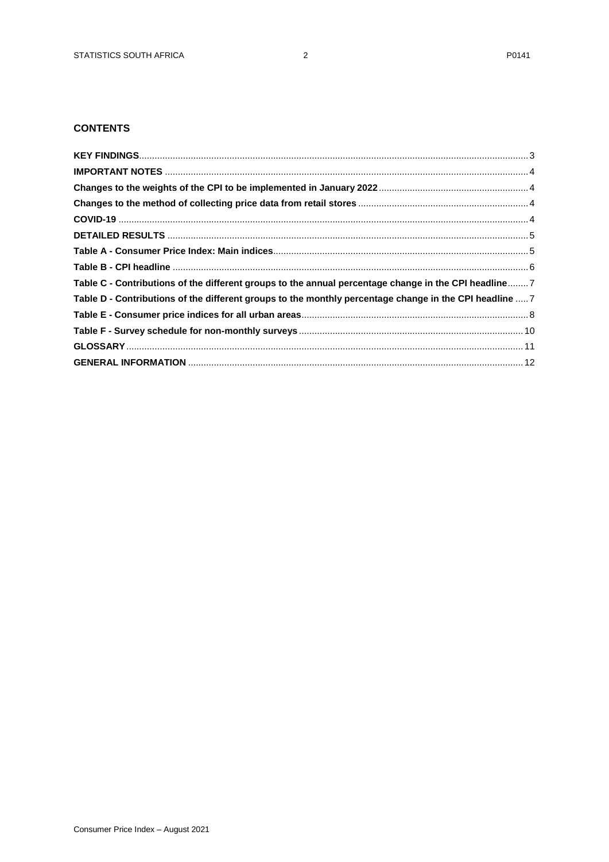# **CONTENTS**

| Table C - Contributions of the different groups to the annual percentage change in the CPI headline 7   |  |
|---------------------------------------------------------------------------------------------------------|--|
| Table D - Contributions of the different groups to the monthly percentage change in the CPI headline  7 |  |
|                                                                                                         |  |
|                                                                                                         |  |
|                                                                                                         |  |
|                                                                                                         |  |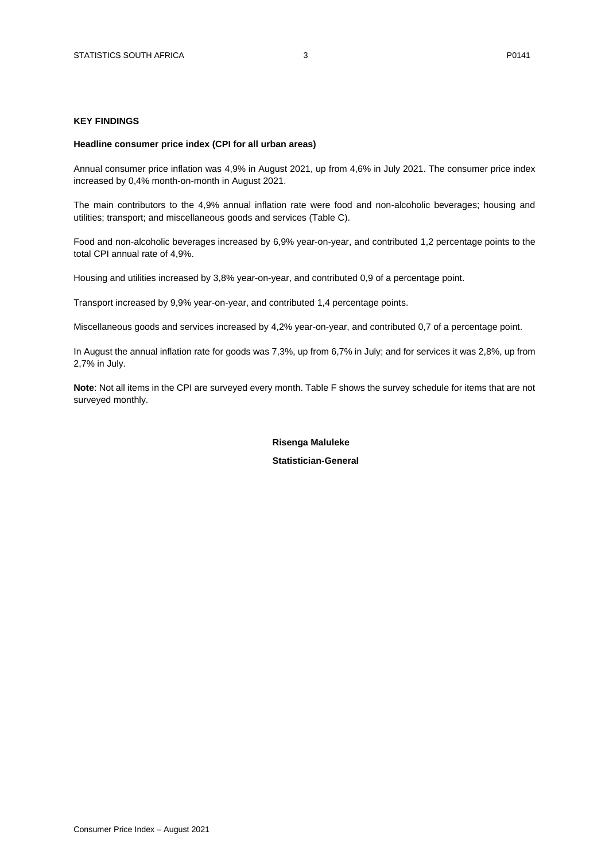#### <span id="page-2-0"></span>**KEY FINDINGS**

#### **Headline consumer price index (CPI for all urban areas)**

Annual consumer price inflation was 4,9% in August 2021, up from 4,6% in July 2021. The consumer price index increased by 0,4% month-on-month in August 2021.

The main contributors to the 4,9% annual inflation rate were food and non-alcoholic beverages; housing and utilities; transport; and miscellaneous goods and services (Table C).

Food and non-alcoholic beverages increased by 6,9% year-on-year, and contributed 1,2 percentage points to the total CPI annual rate of 4,9%.

Housing and utilities increased by 3,8% year-on-year, and contributed 0,9 of a percentage point.

Transport increased by 9,9% year-on-year, and contributed 1,4 percentage points.

Miscellaneous goods and services increased by 4,2% year-on-year, and contributed 0,7 of a percentage point.

In August the annual inflation rate for goods was 7,3%, up from 6,7% in July; and for services it was 2,8%, up from 2,7% in July.

**Note**: Not all items in the CPI are surveyed every month. Table F shows the survey schedule for items that are not surveyed monthly.

#### **Risenga Maluleke**

 **Statistician-General**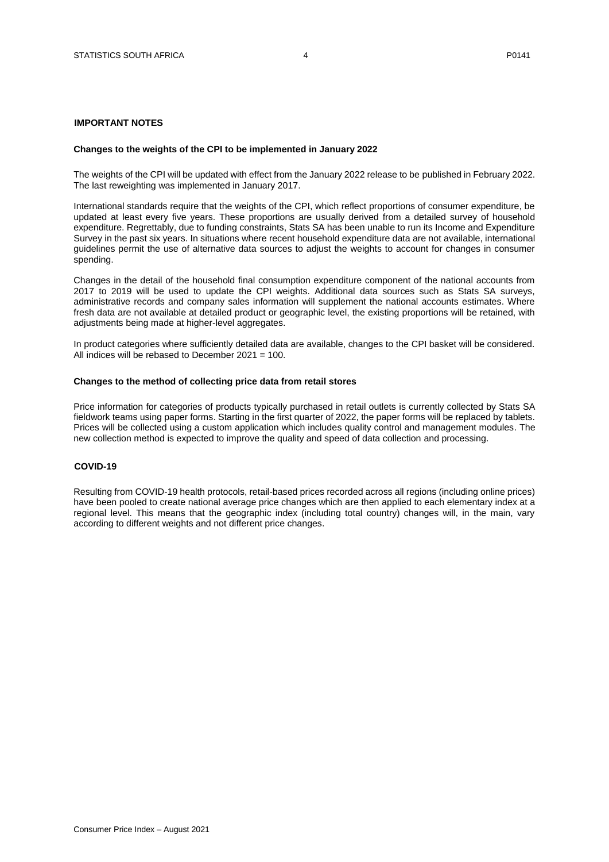# <span id="page-3-0"></span>**IMPORTANT NOTES**

#### <span id="page-3-1"></span>**Changes to the weights of the CPI to be implemented in January 2022**

The weights of the CPI will be updated with effect from the January 2022 release to be published in February 2022. The last reweighting was implemented in January 2017.

International standards require that the weights of the CPI, which reflect proportions of consumer expenditure, be updated at least every five years. These proportions are usually derived from a detailed survey of household expenditure. Regrettably, due to funding constraints, Stats SA has been unable to run its Income and Expenditure Survey in the past six years. In situations where recent household expenditure data are not available, international guidelines permit the use of alternative data sources to adjust the weights to account for changes in consumer spending.

Changes in the detail of the household final consumption expenditure component of the national accounts from 2017 to 2019 will be used to update the CPI weights. Additional data sources such as Stats SA surveys, administrative records and company sales information will supplement the national accounts estimates. Where fresh data are not available at detailed product or geographic level, the existing proportions will be retained, with adjustments being made at higher-level aggregates.

In product categories where sufficiently detailed data are available, changes to the CPI basket will be considered. All indices will be rebased to December 2021 = 100.

#### <span id="page-3-2"></span>**Changes to the method of collecting price data from retail stores**

Price information for categories of products typically purchased in retail outlets is currently collected by Stats SA fieldwork teams using paper forms. Starting in the first quarter of 2022, the paper forms will be replaced by tablets. Prices will be collected using a custom application which includes quality control and management modules. The new collection method is expected to improve the quality and speed of data collection and processing.

## <span id="page-3-3"></span>**COVID-19**

Resulting from COVID-19 health protocols, retail-based prices recorded across all regions (including online prices) have been pooled to create national average price changes which are then applied to each elementary index at a regional level. This means that the geographic index (including total country) changes will, in the main, vary according to different weights and not different price changes.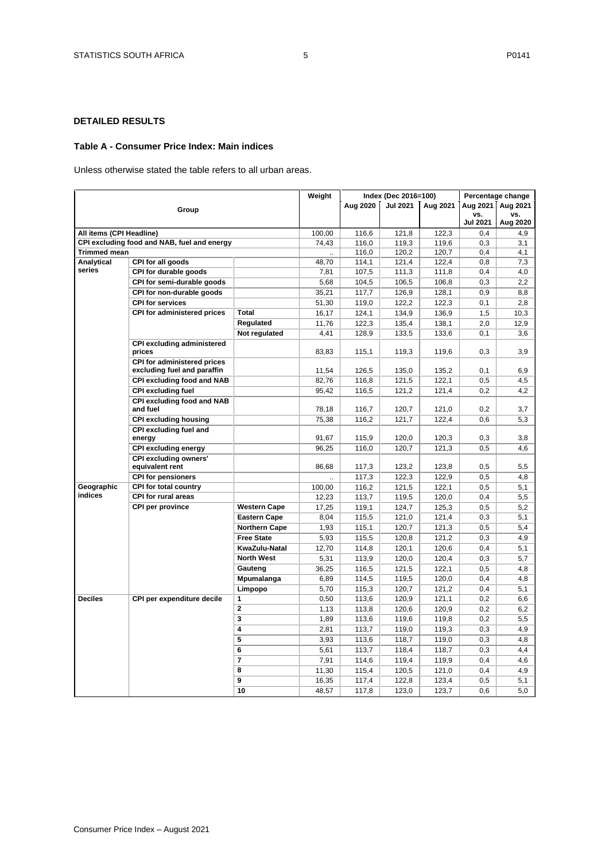# <span id="page-4-0"></span>**DETAILED RESULTS**

#### <span id="page-4-1"></span>**Table A - Consumer Price Index: Main indices**

Unless otherwise stated the table refers to all urban areas.

|                          |                                              |                      | Weight |                | Index (Dec 2016=100) |                |                 | Percentage change |
|--------------------------|----------------------------------------------|----------------------|--------|----------------|----------------------|----------------|-----------------|-------------------|
|                          | Group                                        |                      |        | Aug 2020       | <b>Jul 2021</b>      | Aug 2021       | Aug 2021        | Aug 2021          |
|                          |                                              |                      |        |                |                      |                | vs.             | VS.               |
|                          |                                              |                      |        |                |                      |                | <b>Jul 2021</b> | Aug 2020          |
| All items (CPI Headline) |                                              |                      | 100,00 | 116,6          | 121,8                | 122,3          | 0,4             | 4,9               |
|                          | CPI excluding food and NAB, fuel and energy  |                      | 74,43  | 116,0          | 119,3                | 119,6          | 0,3             | 3,1               |
| <b>Trimmed mean</b>      |                                              |                      |        | 116,0          | 120,2                | 120,7          | 0,4             | 4,1               |
| Analytical               | CPI for all goods                            |                      | 48,70  | 114,1          | 121,4                | 122,4          | 0,8             | 7,3               |
| series                   | CPI for durable goods                        |                      | 7,81   | 107,5          | 111,3                | 111,8          | 0,4             | 4,0               |
|                          | CPI for semi-durable goods                   |                      | 5,68   | 104,5          | 106,5                | 106,8          | 0,3             | 2,2               |
|                          | CPI for non-durable goods                    |                      | 35,21  | 117,7          | 126,9                | 128,1          | 0,9             | 8,8               |
|                          | <b>CPI for services</b>                      |                      | 51,30  | 119,0          | 122,2                | 122,3          | 0,1             | 2,8               |
|                          | CPI for administered prices                  | Total                | 16,17  | 124,1          | 134,9                | 136,9          | 1,5             | 10,3              |
|                          |                                              | Regulated            | 11,76  | 122,3          | 135,4                | 138,1          | 2,0             | 12,9              |
|                          |                                              | Not regulated        | 4,41   | 128,9          | 133,5                | 133,6          | 0,1             | 3,6               |
|                          | <b>CPI excluding administered</b>            |                      |        |                |                      |                |                 |                   |
|                          | prices                                       |                      | 83,83  | 115,1          | 119,3                | 119,6          | 0,3             | 3,9               |
|                          | CPI for administered prices                  |                      |        |                |                      |                |                 |                   |
|                          | excluding fuel and paraffin                  |                      | 11,54  | 126,5          | 135,0                | 135,2          | 0,1             | 6,9               |
|                          | CPI excluding food and NAB                   |                      | 82,76  | 116,8          | 121,5                | 122,1          | 0,5             | 4,5               |
|                          | <b>CPI excluding fuel</b>                    |                      | 95,42  | 116,5          | 121,2                | 121,4          | 0,2             | 4,2               |
|                          | CPI excluding food and NAB<br>and fuel       |                      | 78,18  | 116,7          | 120,7                | 121,0          | 0,2             | 3,7               |
|                          | <b>CPI excluding housing</b>                 |                      | 75,38  | 116,2          | 121,7                | 122,4          | 0,6             | 5,3               |
|                          | CPI excluding fuel and                       |                      |        |                |                      |                |                 |                   |
|                          | energy                                       |                      | 91,67  | 115,9          | 120,0                | 120,3          | 0,3             | 3,8               |
|                          | <b>CPI excluding energy</b>                  |                      | 96,25  | 116,0          | 120,7                | 121,3          | 0,5             | 4,6               |
|                          | <b>CPI excluding owners'</b>                 |                      |        |                |                      |                |                 |                   |
|                          | equivalent rent<br><b>CPI for pensioners</b> |                      | 86,68  | 117,3<br>117,3 | 123,2<br>122,3       | 123,8<br>122,9 | 0.5<br>0.5      | 5,5<br>4,8        |
| Geographic               | <b>CPI for total country</b>                 |                      | 100,00 | 116,2          | 121,5                | 122,1          | 0,5             | 5,1               |
| indices                  | CPI for rural areas                          |                      | 12,23  | 113,7          | 119,5                | 120,0          | 0,4             | 5,5               |
|                          | <b>CPI per province</b>                      | <b>Western Cape</b>  |        |                |                      |                | 0,5             | 5,2               |
|                          |                                              |                      | 17,25  | 119,1          | 124,7                | 125,3          |                 |                   |
|                          |                                              | <b>Eastern Cape</b>  | 8,04   | 115,5          | 121,0                | 121,4          | 0,3             | 5,1               |
|                          |                                              | <b>Northern Cape</b> | 1,93   | 115,1          | 120,7                | 121,3          | 0,5             | 5,4               |
|                          |                                              | <b>Free State</b>    | 5,93   | 115,5          | 120,8                | 121,2          | 0,3             | 4,9               |
|                          |                                              | KwaZulu-Natal        | 12,70  | 114,8          | 120,1                | 120,6          | 0,4             | 5,1               |
|                          |                                              | <b>North West</b>    | 5,31   | 113,9          | 120,0                | 120,4          | 0,3             | 5,7               |
|                          |                                              | Gauteng              | 36,25  | 116,5          | 121,5                | 122,1          | 0,5             | 4,8               |
|                          |                                              | Mpumalanga           | 6,89   | 114,5          | 119,5                | 120,0          | 0,4             | 4,8               |
|                          |                                              | Limpopo              | 5,70   | 115,3          | 120,7                | 121,2          | 0.4             | 5,1               |
| <b>Deciles</b>           | CPI per expenditure decile                   | $\mathbf{1}$         | 0,50   | 113,6          | 120,9                | 121,1          | 0,2             | 6,6               |
|                          |                                              | $\overline{2}$       | 1,13   | 113,8          | 120,6                | 120,9          | 0,2             | 6,2               |
|                          |                                              | $\mathbf 3$          | 1,89   | 113,6          | 119,6                | 119,8          | 0,2             | 5,5               |
|                          |                                              | 4                    | 2,81   | 113,7          | 119,0                | 119,3          | 0,3             | 4,9               |
|                          |                                              | $\overline{5}$       | 3,93   | 113,6          | 118,7                | 119,0          | 0,3             | 4,8               |
|                          |                                              | 6                    | 5,61   | 113,7          | 118,4                | 118,7          | 0,3             | 4,4               |
|                          |                                              | $\overline{7}$       | 7,91   | 114,6          | 119,4                | 119,9          | 0,4             | 4,6               |
|                          |                                              | 8                    | 11,30  | 115,4          | 120,5                | 121,0          | 0.4             | 4,9               |
|                          |                                              | 9                    | 16,35  | 117,4          | 122,8                | 123,4          | 0,5             | 5,1               |
|                          |                                              | 10                   | 48,57  | 117,8          | 123,0                | 123,7          | 0,6             | 5,0               |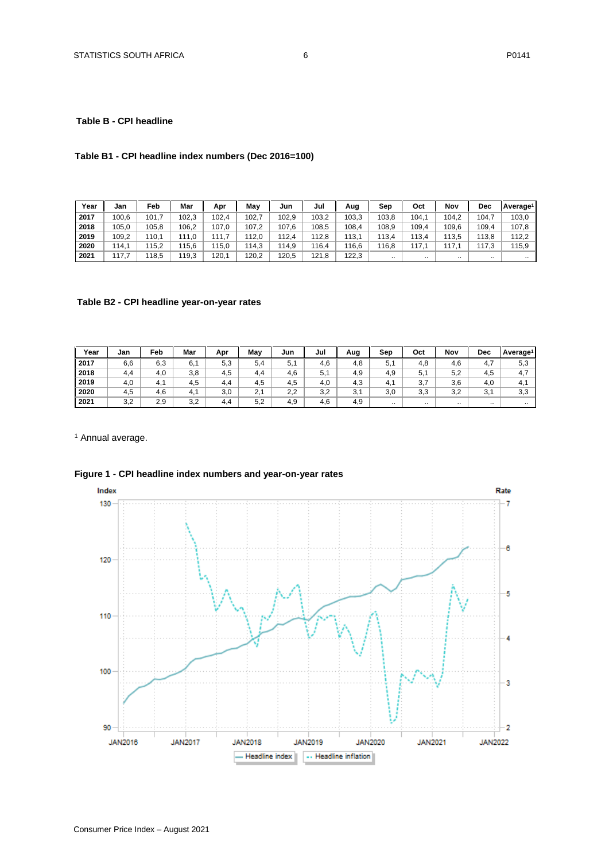## <span id="page-5-0"></span>**Table B - CPI headline**

# **Table B1 - CPI headline index numbers (Dec 2016=100)**

| Year | Jan   | Feb   | Mar   | Apr   | Mav   | Jun   | Jul   | Aug   | Sep       | Oct   | Nov   | Dec       | l Average <sup>1</sup> |
|------|-------|-------|-------|-------|-------|-------|-------|-------|-----------|-------|-------|-----------|------------------------|
| 2017 | 100.6 | 101.  | 102.3 | 102.4 | 102.  | 102.9 | 103,2 | 103.3 | 103.8     | 104.1 | 104.2 | 104.      | 103,0                  |
| 2018 | 105.0 | 105.8 | 106.2 | 107.0 | 107.2 | 107.6 | 108.5 | 108,4 | 108.9     | 109,4 | 109,6 | 109,4     | 107.8                  |
| 2019 | 109,2 | 110,1 | 111.0 | 11.7  | 112.0 | 112.4 | 12.8  | 113,1 | 113.4     | 113.4 | 113,5 | 113.8     | 112,2                  |
| 2020 | 114.1 | 115.2 | 115.6 | 15,0  | 114,3 | 114.9 | 116.4 | 116.6 | 116.8     | 117.1 | 117   | 117.3     | 115,9                  |
| 2021 | 17.7  | 118,5 | 119.3 | 120,1 | 120,2 | 120.5 | 121.8 | 122.3 | $\ddotsc$ |       |       | $\cdot$ . | $\cdot$ .              |

# **Table B2 - CPI headline year-on-year rates**

| Year | Jan | Feb | Mar      | Apr | May | Jun | Jul | Aug | Sep       | Oct       | Nov      | Dec                  | Average <sup>1</sup> |
|------|-----|-----|----------|-----|-----|-----|-----|-----|-----------|-----------|----------|----------------------|----------------------|
| 2017 | 6,6 | 6,3 | 6.1      | 5,3 | 5.4 | 5.1 | 4.6 | 4.8 | 5.        | 4.8       | 4.6      | 4.7                  | 5,3                  |
| 2018 | 4.4 | 4,0 | 3,8      | 4.5 | 4.4 | 4,6 | 5.1 | 4.9 | 4,9       | 5,1       | 5,2      | 4,5                  | 4.7                  |
| 2019 | 4,0 | 4.1 | 4.5      | 4.4 | 4,5 | 4,5 | 4.0 | 4.3 | 4. .      | 2 7<br>υ, | 3,6      | 4,0                  | 4.1                  |
| 2020 | 4.5 | 4,6 | -4<br>т. | 3.0 | 2.1 | 2.2 | 3.2 | 3,1 | 3.0       | 3.3       | 3,2      | 2 <sub>1</sub><br>J, | 3,3                  |
| 2021 | 3,2 | 2,9 | 3,2      | 4.4 | 5.2 | 4,9 | 4.6 | 4.9 | $\cdot$ . | $\cdots$  | $\cdots$ | $\cdots$             | $\cdot$ .            |

<sup>1</sup> Annual average.



# **Figure 1 - CPI headline index numbers and year-on-year rates**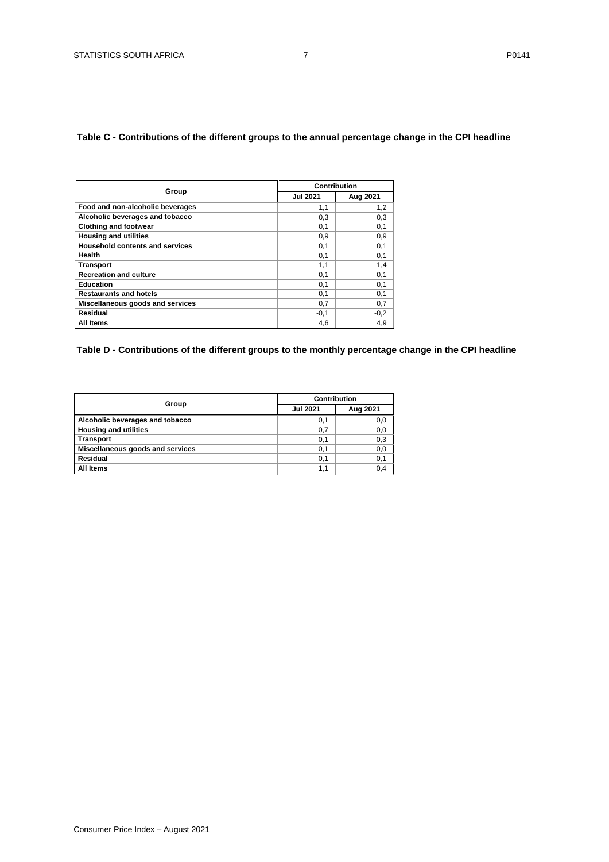# <span id="page-6-0"></span>**Table C - Contributions of the different groups to the annual percentage change in the CPI headline**

|                                        |                 | Contribution |
|----------------------------------------|-----------------|--------------|
| Group                                  | <b>Jul 2021</b> | Aug 2021     |
| Food and non-alcoholic beverages       | 1,1             | 1,2          |
| Alcoholic beverages and tobacco        | 0,3             | 0,3          |
| <b>Clothing and footwear</b>           | 0.1             | 0,1          |
| <b>Housing and utilities</b>           | 0.9             | 0,9          |
| <b>Household contents and services</b> | 0,1             | 0,1          |
| Health                                 | 0,1             | 0,1          |
| <b>Transport</b>                       | 1,1             | 1,4          |
| <b>Recreation and culture</b>          | 0,1             | 0,1          |
| <b>Education</b>                       | 0,1             | 0,1          |
| <b>Restaurants and hotels</b>          | 0,1             | 0,1          |
| Miscellaneous goods and services       | 0,7             | 0,7          |
| Residual                               | $-0.1$          | $-0,2$       |
| All Items                              | 4,6             | 4,9          |

# <span id="page-6-1"></span>**Table D - Contributions of the different groups to the monthly percentage change in the CPI headline**

|                                  | Contribution    |          |
|----------------------------------|-----------------|----------|
| Group                            | <b>Jul 2021</b> | Aug 2021 |
| Alcoholic beverages and tobacco  | 0,1             | 0,0      |
| <b>Housing and utilities</b>     | 0,7             | 0,0      |
| <b>Transport</b>                 | 0,1             | 0,3      |
| Miscellaneous goods and services | 0,1             | 0,0      |
| Residual                         | 0,1             | 0,1      |
| All Items                        | 1.1             | 0.4      |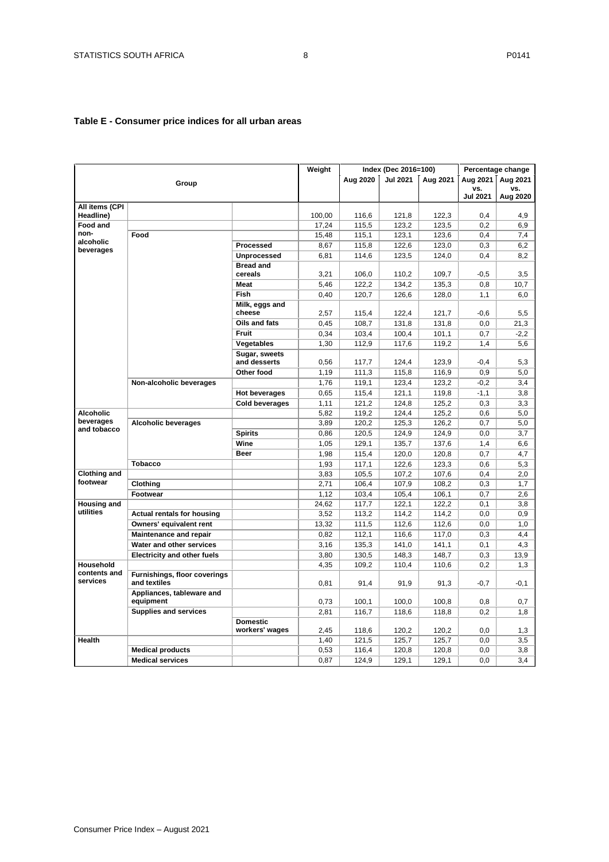# <span id="page-7-0"></span>**Table E - Consumer price indices for all urban areas**

|                             |                                              |                                   | Weight |          | Index (Dec 2016=100) |          |                 | Percentage change |
|-----------------------------|----------------------------------------------|-----------------------------------|--------|----------|----------------------|----------|-----------------|-------------------|
|                             | Group                                        |                                   |        | Aug 2020 | <b>Jul 2021</b>      | Aug 2021 | Aua 2021        | Aug 2021          |
|                             |                                              |                                   |        |          |                      |          | vs.             | vs.               |
|                             |                                              |                                   |        |          |                      |          | <b>Jul 2021</b> | Aug 2020          |
| All items (CPI<br>Headline) |                                              |                                   | 100,00 | 116.6    | 121.8                | 122,3    | 0.4             | 4.9               |
| Food and                    |                                              |                                   | 17,24  | 115,5    | 123,2                | 123,5    | 0,2             | 6,9               |
| non-                        | Food                                         |                                   | 15,48  | 115,1    | 123,1                | 123,6    | 0,4             | 7,4               |
| alcoholic                   |                                              | Processed                         | 8,67   | 115,8    | 122,6                | 123,0    | 0,3             | 6,2               |
| beverages                   |                                              | <b>Unprocessed</b>                | 6,81   | 114,6    | 123,5                | 124,0    | 0,4             | 8,2               |
|                             |                                              | <b>Bread and</b>                  |        |          |                      |          |                 |                   |
|                             |                                              | cereals                           | 3,21   | 106,0    | 110,2                | 109,7    | $-0,5$          | 3,5               |
|                             |                                              | <b>Meat</b>                       | 5,46   | 122,2    | 134,2                | 135,3    | 0,8             | 10,7              |
|                             |                                              | <b>Fish</b>                       | 0,40   | 120.7    | 126,6                | 128.0    | 1.1             | 6.0               |
|                             |                                              | Milk, eggs and                    |        |          |                      |          |                 |                   |
|                             |                                              | cheese                            | 2,57   | 115,4    | 122.4                | 121,7    | $-0.6$          | 5,5               |
|                             |                                              | Oils and fats                     | 0,45   | 108,7    | 131,8                | 131,8    | 0,0             | 21,3              |
|                             |                                              | <b>Fruit</b>                      | 0,34   | 103,4    | 100,4                | 101,1    | 0.7             | $-2,2$            |
|                             |                                              | <b>Vegetables</b>                 | 1,30   | 112,9    | 117,6                | 119,2    | 1,4             | 5,6               |
|                             |                                              | Sugar, sweets<br>and desserts     | 0,56   | 117,7    | 124,4                | 123,9    | $-0,4$          | 5,3               |
|                             |                                              | Other food                        | 1,19   | 111,3    | 115,8                | 116,9    | 0,9             | 5,0               |
|                             | Non-alcoholic beverages                      |                                   | 1,76   | 119,1    | 123,4                | 123,2    | $-0,2$          | 3,4               |
|                             |                                              | <b>Hot beverages</b>              | 0,65   | 115,4    | 121,1                | 119,8    | $-1,1$          | 3,8               |
|                             |                                              | Cold beverages                    | 1,11   | 121,2    | 124,8                | 125,2    | 0,3             | 3,3               |
| Alcoholic                   |                                              |                                   | 5,82   | 119,2    | 124,4                | 125,2    | 0,6             | 5,0               |
| beverages                   | <b>Alcoholic beverages</b>                   |                                   | 3,89   | 120,2    | 125,3                | 126,2    | 0,7             | 5,0               |
| and tobacco                 |                                              | <b>Spirits</b>                    | 0,86   | 120,5    | 124,9                | 124,9    | 0,0             | 3,7               |
|                             |                                              | Wine                              | 1,05   | 129,1    | 135,7                | 137,6    | 1,4             | 6,6               |
|                             |                                              | <b>Beer</b>                       | 1,98   | 115,4    | 120,0                | 120,8    | 0,7             | 4,7               |
|                             | <b>Tobacco</b>                               |                                   | 1,93   | 117,1    | 122,6                | 123,3    | 0,6             | 5,3               |
| <b>Clothing and</b>         |                                              |                                   | 3,83   | 105,5    | 107,2                | 107,6    | 0,4             | 2,0               |
| footwear                    | Clothing                                     |                                   | 2,71   | 106,4    | 107,9                | 108,2    | 0,3             | 1,7               |
|                             | Footwear                                     |                                   | 1,12   | 103,4    | 105,4                | 106,1    | 0,7             | 2,6               |
| <b>Housing and</b>          |                                              |                                   | 24,62  | 117,7    | 122,1                | 122,2    | 0,1             | 3,8               |
| utilities                   | <b>Actual rentals for housing</b>            |                                   | 3,52   | 113,2    | 114,2                | 114,2    | 0,0             | 0,9               |
|                             | Owners' equivalent rent                      |                                   | 13,32  | 111,5    | 112,6                | 112,6    | 0,0             | 1,0               |
|                             | <b>Maintenance and repair</b>                |                                   | 0,82   | 112,1    | 116,6                | 117,0    | 0,3             | 4,4               |
|                             | Water and other services                     |                                   | 3,16   | 135,3    | 141,0                | 141,1    | 0,1             | 4,3               |
|                             | <b>Electricity and other fuels</b>           |                                   | 3,80   | 130,5    | 148,3                | 148,7    | 0,3             | 13,9              |
| Household                   |                                              |                                   | 4,35   | 109,2    | 110,4                | 110,6    | 0,2             | 1,3               |
| contents and<br>services    | Furnishings, floor coverings<br>and textiles |                                   | 0,81   | 91,4     | 91,9                 | 91,3     | $-0,7$          | -0,1              |
|                             | Appliances, tableware and<br>equipment       |                                   | 0,73   | 100,1    | 100,0                | 100,8    | 0,8             | 0,7               |
|                             | <b>Supplies and services</b>                 |                                   | 2,81   | 116,7    | 118,6                | 118,8    | 0,2             | 1,8               |
|                             |                                              | <b>Domestic</b><br>workers' wages | 2,45   | 118,6    | 120,2                | 120,2    | 0,0             | 1,3               |
| Health                      |                                              |                                   | 1,40   | 121,5    | 125,7                | 125,7    | 0,0             | 3,5               |
|                             | <b>Medical products</b>                      |                                   | 0,53   | 116,4    | 120,8                | 120,8    | 0,0             | 3,8               |
|                             | <b>Medical services</b>                      |                                   | 0,87   | 124,9    | 129,1                | 129,1    | 0,0             | 3,4               |
|                             |                                              |                                   |        |          |                      |          |                 |                   |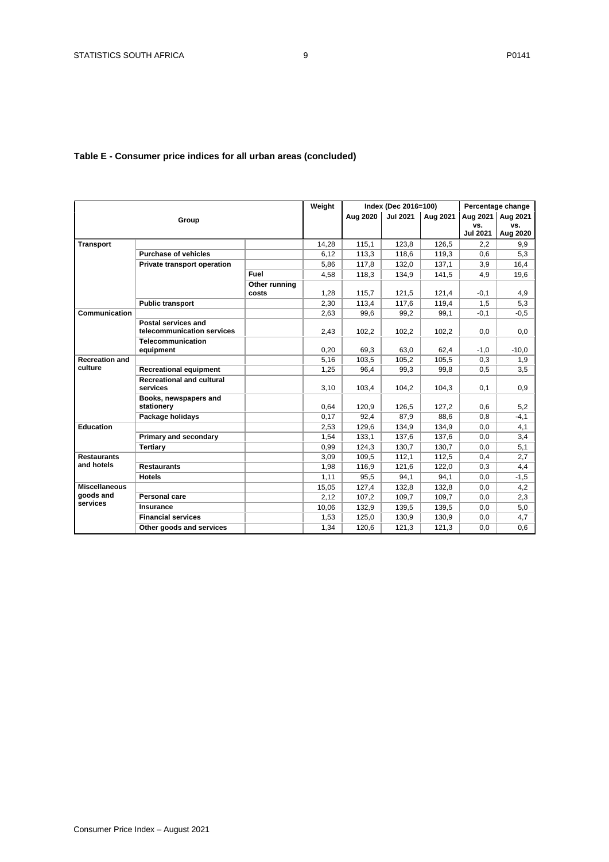# **Table E - Consumer price indices for all urban areas (concluded)**

|                                               |                                              |               | Weight |          | Index (Dec 2016=100) |          |                 | Percentage change |
|-----------------------------------------------|----------------------------------------------|---------------|--------|----------|----------------------|----------|-----------------|-------------------|
|                                               | Group                                        |               |        | Aug 2020 | <b>Jul 2021</b>      | Aug 2021 | Aug 2021        | Aug 2021          |
|                                               |                                              |               |        |          |                      |          | vs.             | VS.               |
|                                               |                                              |               |        |          |                      |          | <b>Jul 2021</b> | Aug 2020          |
| <b>Transport</b>                              |                                              |               | 14,28  | 115,1    | 123,8                | 126,5    | 2,2             | 9,9               |
|                                               | <b>Purchase of vehicles</b>                  |               | 6,12   | 113,3    | 118,6                | 119,3    | 0,6             | 5,3               |
|                                               | Private transport operation                  |               | 5,86   | 117,8    | 132,0                | 137,1    | 3,9             | 16.4              |
|                                               |                                              | Fuel          | 4,58   | 118,3    | 134,9                | 141,5    | 4,9             | 19,6              |
|                                               |                                              | Other running |        |          |                      |          |                 |                   |
|                                               |                                              | costs         | 1,28   | 115,7    | 121,5                | 121,4    | $-0,1$          | 4,9               |
|                                               | <b>Public transport</b>                      |               | 2,30   | 113,4    | 117,6                | 119,4    | 1,5             | 5,3               |
| Communication                                 |                                              |               | 2,63   | 99,6     | 99,2                 | 99,1     | $-0,1$          | $-0,5$            |
|                                               | Postal services and                          |               |        |          |                      |          |                 |                   |
|                                               | telecommunication services                   |               | 2,43   | 102,2    | 102,2                | 102,2    | 0,0             | 0,0               |
|                                               | Telecommunication                            |               |        |          |                      |          |                 |                   |
| <b>Recreation and</b>                         | equipment                                    |               | 0,20   | 69.3     | 63.0                 | 62.4     | $-1.0$          | $-10.0$           |
| culture                                       |                                              |               | 5,16   | 103,5    | 105,2                | 105,5    | 0,3             | 1,9               |
|                                               | <b>Recreational equipment</b>                |               | 1,25   | 96,4     | 99,3                 | 99,8     | 0,5             | 3,5               |
|                                               | <b>Recreational and cultural</b><br>services |               | 3,10   | 103.4    | 104.2                | 104,3    | 0,1             | 0.9               |
|                                               | Books, newspapers and                        |               |        |          |                      |          |                 |                   |
|                                               | stationery                                   |               | 0,64   | 120,9    | 126,5                | 127,2    | 0,6             | 5,2               |
|                                               | Package holidays                             |               | 0,17   | 92.4     | 87.9                 | 88.6     | 0,8             | $-4,1$            |
| Education                                     |                                              |               | 2,53   | 129,6    | 134,9                | 134,9    | 0,0             | 4,1               |
|                                               | Primary and secondary                        |               | 1,54   | 133,1    | 137,6                | 137,6    | 0,0             | 3,4               |
|                                               | Tertiary                                     |               | 0,99   | 124.3    | 130.7                | 130,7    | 0,0             | 5,1               |
| <b>Restaurants</b>                            |                                              |               | 3,09   | 109,5    | 112,1                | 112,5    | 0,4             | 2,7               |
| and hotels                                    | <b>Restaurants</b>                           |               | 1,98   | 116,9    | 121,6                | 122,0    | 0,3             | 4,4               |
|                                               | <b>Hotels</b>                                |               | 1,11   | 95,5     | 94,1                 | 94,1     | 0,0             | $-1,5$            |
| <b>Miscellaneous</b><br>goods and<br>services |                                              |               | 15,05  | 127,4    | 132,8                | 132,8    | 0,0             | 4,2               |
|                                               | Personal care                                |               | 2,12   | 107,2    | 109,7                | 109.7    | 0,0             | 2,3               |
|                                               | Insurance                                    |               | 10,06  | 132,9    | 139,5                | 139,5    | 0,0             | 5,0               |
|                                               | <b>Financial services</b>                    |               | 1,53   | 125,0    | 130,9                | 130,9    | 0,0             | 4,7               |
|                                               | Other goods and services                     |               | 1,34   | 120.6    | 121,3                | 121,3    | 0,0             | 0.6               |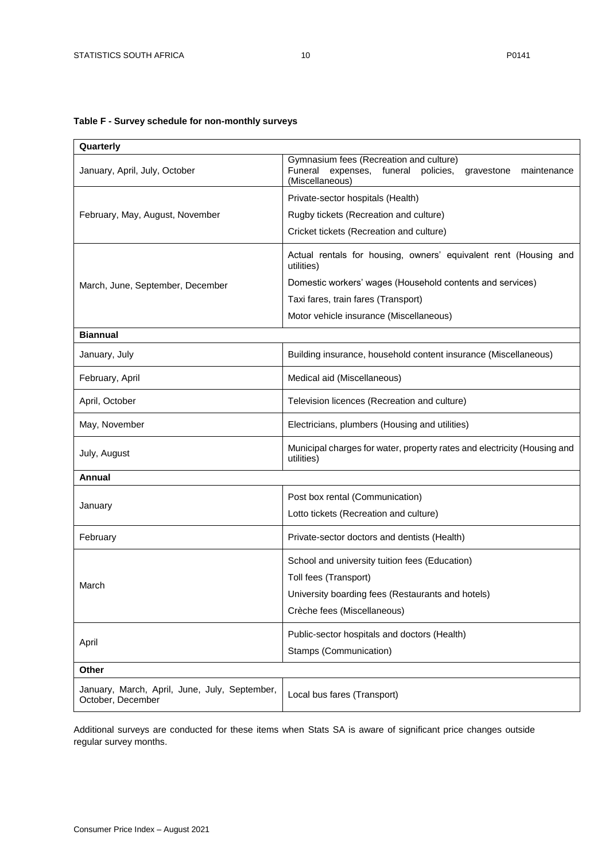# <span id="page-9-0"></span>**Table F - Survey schedule for non-monthly surveys**

| Quarterly                                                          |                                                                                                                                      |  |  |  |  |  |
|--------------------------------------------------------------------|--------------------------------------------------------------------------------------------------------------------------------------|--|--|--|--|--|
| January, April, July, October                                      | Gymnasium fees (Recreation and culture)<br>Funeral<br>expenses, funeral<br>policies,<br>maintenance<br>gravestone<br>(Miscellaneous) |  |  |  |  |  |
|                                                                    | Private-sector hospitals (Health)                                                                                                    |  |  |  |  |  |
| February, May, August, November                                    | Rugby tickets (Recreation and culture)                                                                                               |  |  |  |  |  |
|                                                                    | Cricket tickets (Recreation and culture)                                                                                             |  |  |  |  |  |
|                                                                    | Actual rentals for housing, owners' equivalent rent (Housing and<br>utilities)                                                       |  |  |  |  |  |
| March, June, September, December                                   | Domestic workers' wages (Household contents and services)                                                                            |  |  |  |  |  |
|                                                                    | Taxi fares, train fares (Transport)                                                                                                  |  |  |  |  |  |
|                                                                    | Motor vehicle insurance (Miscellaneous)                                                                                              |  |  |  |  |  |
| <b>Biannual</b>                                                    |                                                                                                                                      |  |  |  |  |  |
| January, July                                                      | Building insurance, household content insurance (Miscellaneous)                                                                      |  |  |  |  |  |
| February, April                                                    | Medical aid (Miscellaneous)                                                                                                          |  |  |  |  |  |
| April, October                                                     | Television licences (Recreation and culture)                                                                                         |  |  |  |  |  |
| May, November                                                      | Electricians, plumbers (Housing and utilities)                                                                                       |  |  |  |  |  |
| July, August                                                       | Municipal charges for water, property rates and electricity (Housing and<br>utilities)                                               |  |  |  |  |  |
| <b>Annual</b>                                                      |                                                                                                                                      |  |  |  |  |  |
|                                                                    | Post box rental (Communication)                                                                                                      |  |  |  |  |  |
| January                                                            | Lotto tickets (Recreation and culture)                                                                                               |  |  |  |  |  |
| February                                                           | Private-sector doctors and dentists (Health)                                                                                         |  |  |  |  |  |
|                                                                    | School and university tuition fees (Education)                                                                                       |  |  |  |  |  |
| March                                                              | Toll fees (Transport)                                                                                                                |  |  |  |  |  |
|                                                                    | University boarding fees (Restaurants and hotels)                                                                                    |  |  |  |  |  |
|                                                                    | Crèche fees (Miscellaneous)                                                                                                          |  |  |  |  |  |
|                                                                    | Public-sector hospitals and doctors (Health)                                                                                         |  |  |  |  |  |
| April                                                              | Stamps (Communication)                                                                                                               |  |  |  |  |  |
| Other                                                              |                                                                                                                                      |  |  |  |  |  |
| January, March, April, June, July, September,<br>October, December | Local bus fares (Transport)                                                                                                          |  |  |  |  |  |

Additional surveys are conducted for these items when Stats SA is aware of significant price changes outside regular survey months.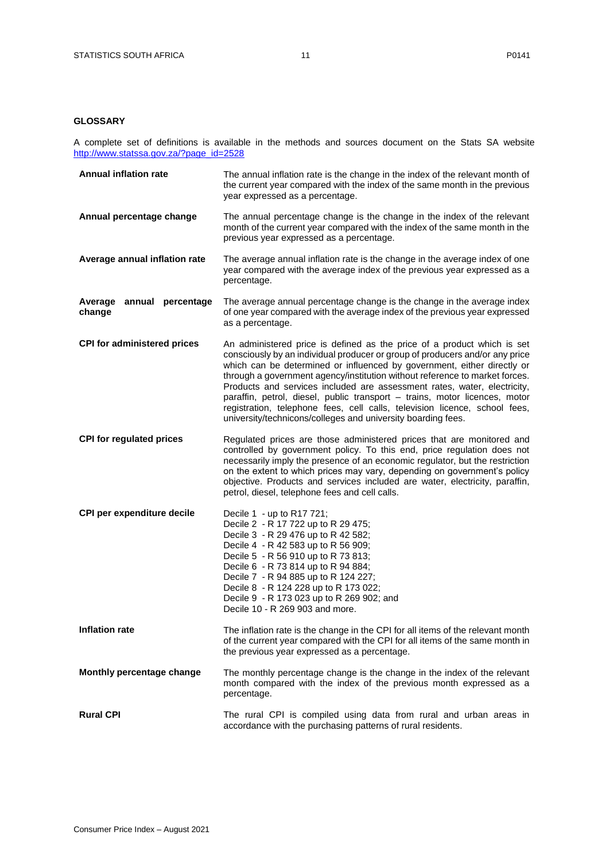# <span id="page-10-0"></span>**GLOSSARY**

A complete set of definitions is available in the methods and sources document on the Stats SA website [http://www.statssa.gov.za/?page\\_id=2528](http://www.statssa.gov.za/?page_id=2528)

| <b>Annual inflation rate</b>        | The annual inflation rate is the change in the index of the relevant month of<br>the current year compared with the index of the same month in the previous<br>year expressed as a percentage.                                                                                                                                                                                                                                                                                                                                                                                                                            |
|-------------------------------------|---------------------------------------------------------------------------------------------------------------------------------------------------------------------------------------------------------------------------------------------------------------------------------------------------------------------------------------------------------------------------------------------------------------------------------------------------------------------------------------------------------------------------------------------------------------------------------------------------------------------------|
| Annual percentage change            | The annual percentage change is the change in the index of the relevant<br>month of the current year compared with the index of the same month in the<br>previous year expressed as a percentage.                                                                                                                                                                                                                                                                                                                                                                                                                         |
| Average annual inflation rate       | The average annual inflation rate is the change in the average index of one<br>year compared with the average index of the previous year expressed as a<br>percentage.                                                                                                                                                                                                                                                                                                                                                                                                                                                    |
| Average annual percentage<br>change | The average annual percentage change is the change in the average index<br>of one year compared with the average index of the previous year expressed<br>as a percentage.                                                                                                                                                                                                                                                                                                                                                                                                                                                 |
| <b>CPI for administered prices</b>  | An administered price is defined as the price of a product which is set<br>consciously by an individual producer or group of producers and/or any price<br>which can be determined or influenced by government, either directly or<br>through a government agency/institution without reference to market forces.<br>Products and services included are assessment rates, water, electricity,<br>paraffin, petrol, diesel, public transport - trains, motor licences, motor<br>registration, telephone fees, cell calls, television licence, school fees,<br>university/technicons/colleges and university boarding fees. |
| <b>CPI for regulated prices</b>     | Regulated prices are those administered prices that are monitored and<br>controlled by government policy. To this end, price regulation does not<br>necessarily imply the presence of an economic regulator, but the restriction<br>on the extent to which prices may vary, depending on government's policy<br>objective. Products and services included are water, electricity, paraffin,<br>petrol, diesel, telephone fees and cell calls.                                                                                                                                                                             |
| CPI per expenditure decile          | Decile 1 - up to R17 721;<br>Decile 2 - R 17 722 up to R 29 475;<br>Decile 3 - R 29 476 up to R 42 582;<br>Decile 4 - R 42 583 up to R 56 909;<br>Decile 5 - R 56 910 up to R 73 813;<br>Decile 6 - R 73 814 up to R 94 884;<br>Decile 7 - R 94 885 up to R 124 227;<br>Decile 8 - R 124 228 up to R 173 022;<br>Decile 9 - R 173 023 up to R 269 902; and<br>Decile 10 - R 269 903 and more.                                                                                                                                                                                                                             |
| <b>Inflation rate</b>               | The inflation rate is the change in the CPI for all items of the relevant month<br>of the current year compared with the CPI for all items of the same month in<br>the previous year expressed as a percentage.                                                                                                                                                                                                                                                                                                                                                                                                           |
| Monthly percentage change           | The monthly percentage change is the change in the index of the relevant<br>month compared with the index of the previous month expressed as a<br>percentage.                                                                                                                                                                                                                                                                                                                                                                                                                                                             |
| <b>Rural CPI</b>                    | The rural CPI is compiled using data from rural and urban areas in<br>accordance with the purchasing patterns of rural residents.                                                                                                                                                                                                                                                                                                                                                                                                                                                                                         |